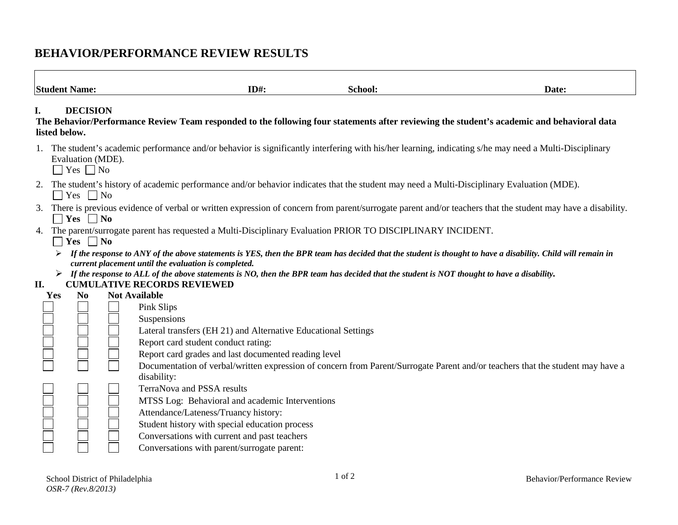## **BEHAVIOR/PERFORMANCE REVIEW RESULTS**

| <b>Student Name:</b>                                                                                                                                                                                    | $ID#$ :                                                                                     | School: | Date:                                                                                                                                                       |
|---------------------------------------------------------------------------------------------------------------------------------------------------------------------------------------------------------|---------------------------------------------------------------------------------------------|---------|-------------------------------------------------------------------------------------------------------------------------------------------------------------|
| <b>DECISION</b><br>I.<br>listed below.                                                                                                                                                                  |                                                                                             |         | The Behavior/Performance Review Team responded to the following four statements after reviewing the student's academic and behavioral data                  |
| Evaluation (MDE).<br>$\Box$ Yes $\Box$ No                                                                                                                                                               |                                                                                             |         | The student's academic performance and/or behavior is significantly interfering with his/her learning, indicating s/he may need a Multi-Disciplinary        |
| The student's history of academic performance and/or behavior indicates that the student may need a Multi-Disciplinary Evaluation (MDE).<br>2.<br>Yes $\n $ No<br>$\Box$                                |                                                                                             |         |                                                                                                                                                             |
| 3.<br>$\Box$ Yes $\Box$ No                                                                                                                                                                              |                                                                                             |         | There is previous evidence of verbal or written expression of concern from parent/surrogate parent and/or teachers that the student may have a disability.  |
| 4. The parent/surrogate parent has requested a Multi-Disciplinary Evaluation PRIOR TO DISCIPLINARY INCIDENT.<br>Yes $\n  No\n$                                                                          |                                                                                             |         |                                                                                                                                                             |
| ➤<br>current placement until the evaluation is completed.                                                                                                                                               |                                                                                             |         | If the response to ANY of the above statements is YES, then the BPR team has decided that the student is thought to have a disability. Child will remain in |
| $\triangleright$ If the response to ALL of the above statements is NO, then the BPR team has decided that the student is NOT thought to have a disability.<br><b>CUMULATIVE RECORDS REVIEWED</b><br>II. |                                                                                             |         |                                                                                                                                                             |
| <b>Not Available</b><br>Yes<br>N <sub>0</sub>                                                                                                                                                           |                                                                                             |         |                                                                                                                                                             |
| <b>Pink Slips</b><br>Suspensions                                                                                                                                                                        |                                                                                             |         |                                                                                                                                                             |
|                                                                                                                                                                                                         | Lateral transfers (EH 21) and Alternative Educational Settings                              |         |                                                                                                                                                             |
| Report card student conduct rating:                                                                                                                                                                     |                                                                                             |         |                                                                                                                                                             |
|                                                                                                                                                                                                         | Report card grades and last documented reading level                                        |         |                                                                                                                                                             |
|                                                                                                                                                                                                         |                                                                                             |         | Documentation of verbal/written expression of concern from Parent/Surrogate Parent and/or teachers that the student may have a                              |
| disability:                                                                                                                                                                                             |                                                                                             |         |                                                                                                                                                             |
| TerraNova and PSSA results                                                                                                                                                                              |                                                                                             |         |                                                                                                                                                             |
|                                                                                                                                                                                                         | MTSS Log: Behavioral and academic Interventions                                             |         |                                                                                                                                                             |
|                                                                                                                                                                                                         | Attendance/Lateness/Truancy history:                                                        |         |                                                                                                                                                             |
|                                                                                                                                                                                                         | Student history with special education process                                              |         |                                                                                                                                                             |
|                                                                                                                                                                                                         | Conversations with current and past teachers<br>Conversations with parent/surrogate parent: |         |                                                                                                                                                             |
|                                                                                                                                                                                                         |                                                                                             |         |                                                                                                                                                             |